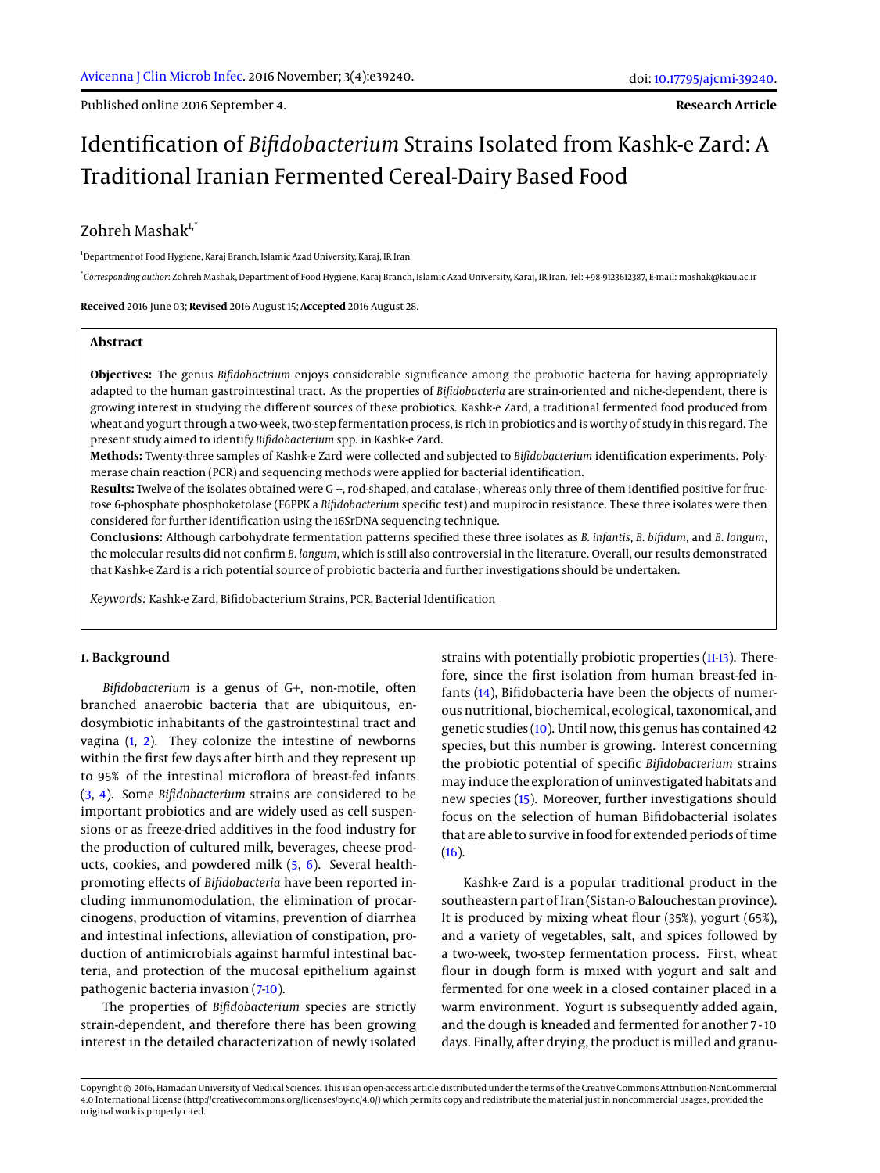Published online 2016 September 4.

**Research Article**

# Identification of *Bifidobacterium* Strains Isolated from Kashk-e Zard: A Traditional Iranian Fermented Cereal-Dairy Based Food

# $Z$ ohreh Masha $k^{1,*}$

<sup>1</sup>Department of Food Hygiene, Karaj Branch, Islamic Azad University, Karaj, IR Iran

\* *Corresponding author*: Zohreh Mashak, Department of Food Hygiene, Karaj Branch, Islamic Azad University, Karaj, IR Iran. Tel: +98-9123612387, E-mail: mashak@kiau.ac.ir

**Received** 2016 June 03; **Revised** 2016 August 15; **Accepted** 2016 August 28.

#### **Abstract**

**Objectives:** The genus *Bifidobactrium* enjoys considerable significance among the probiotic bacteria for having appropriately adapted to the human gastrointestinal tract. As the properties of *Bifidobacteria* are strain-oriented and niche-dependent, there is growing interest in studying the different sources of these probiotics. Kashk-e Zard, a traditional fermented food produced from wheat and yogurt through a two-week, two-step fermentation process, is rich in probiotics and is worthy of study in this regard. The present study aimed to identify *Bifidobacterium* spp. in Kashk-e Zard.

**Methods:** Twenty-three samples of Kashk-e Zard were collected and subjected to *Bifidobacterium* identification experiments. Polymerase chain reaction (PCR) and sequencing methods were applied for bacterial identification.

**Results:** Twelve of the isolates obtained were G +, rod-shaped, and catalase-, whereas only three of them identified positive for fructose 6-phosphate phosphoketolase (F6PPK a *Bifidobacterium* specific test) and mupirocin resistance. These three isolates were then considered for further identification using the 16SrDNA sequencing technique.

**Conclusions:** Although carbohydrate fermentation patterns specified these three isolates as *B. infantis*, *B. bifidum*, and *B. longum*, the molecular results did not confirm *B. longum*, which is still also controversial in the literature. Overall, our results demonstrated that Kashk-e Zard is a rich potential source of probiotic bacteria and further investigations should be undertaken.

*Keywords:* Kashk-e Zard, Bifidobacterium Strains, PCR, Bacterial Identification

# **1. Background**

*Bifidobacterium* is a genus of G+, non-motile, often branched anaerobic bacteria that are ubiquitous, endosymbiotic inhabitants of the gastrointestinal tract and vagina [\(1,](#page-4-0) [2\)](#page-4-1). They colonize the intestine of newborns within the first few days after birth and they represent up to 95% of the intestinal microflora of breast-fed infants [\(3,](#page-4-2) [4\)](#page-4-3). Some *Bifidobacterium* strains are considered to be important probiotics and are widely used as cell suspensions or as freeze-dried additives in the food industry for the production of cultured milk, beverages, cheese products, cookies, and powdered milk [\(5,](#page-4-4) [6\)](#page-4-5). Several healthpromoting effects of *Bifidobacteria* have been reported including immunomodulation, the elimination of procarcinogens, production of vitamins, prevention of diarrhea and intestinal infections, alleviation of constipation, production of antimicrobials against harmful intestinal bacteria, and protection of the mucosal epithelium against pathogenic bacteria invasion [\(7-](#page-4-6)[10\)](#page-4-7).

The properties of *Bifidobacterium* species are strictly strain-dependent, and therefore there has been growing interest in the detailed characterization of newly isolated

strains with potentially probiotic properties [\(11](#page-4-8)[-13\)](#page-4-9). Therefore, since the first isolation from human breast-fed infants [\(14\)](#page-4-10), Bifidobacteria have been the objects of numerous nutritional, biochemical, ecological, taxonomical, and genetic studies [\(10\)](#page-4-7). Until now, this genus has contained 42 species, but this number is growing. Interest concerning the probiotic potential of specific *Bifidobacterium* strains may induce the exploration of uninvestigated habitats and new species [\(15\)](#page-4-11). Moreover, further investigations should focus on the selection of human Bifidobacterial isolates that are able to survive in food for extended periods of time  $(16).$  $(16).$ 

Kashk-e Zard is a popular traditional product in the southeastern part of Iran (Sistan-o Balouchestan province). It is produced by mixing wheat flour (35%), yogurt (65%), and a variety of vegetables, salt, and spices followed by a two-week, two-step fermentation process. First, wheat flour in dough form is mixed with yogurt and salt and fermented for one week in a closed container placed in a warm environment. Yogurt is subsequently added again, and the dough is kneaded and fermented for another 7 - 10 days. Finally, after drying, the product is milled and granu-

Copyright © 2016, Hamadan University of Medical Sciences. This is an open-access article distributed under the terms of the Creative Commons Attribution-NonCommercial 4.0 International License (http://creativecommons.org/licenses/by-nc/4.0/) which permits copy and redistribute the material just in noncommercial usages, provided the original work is properly cited.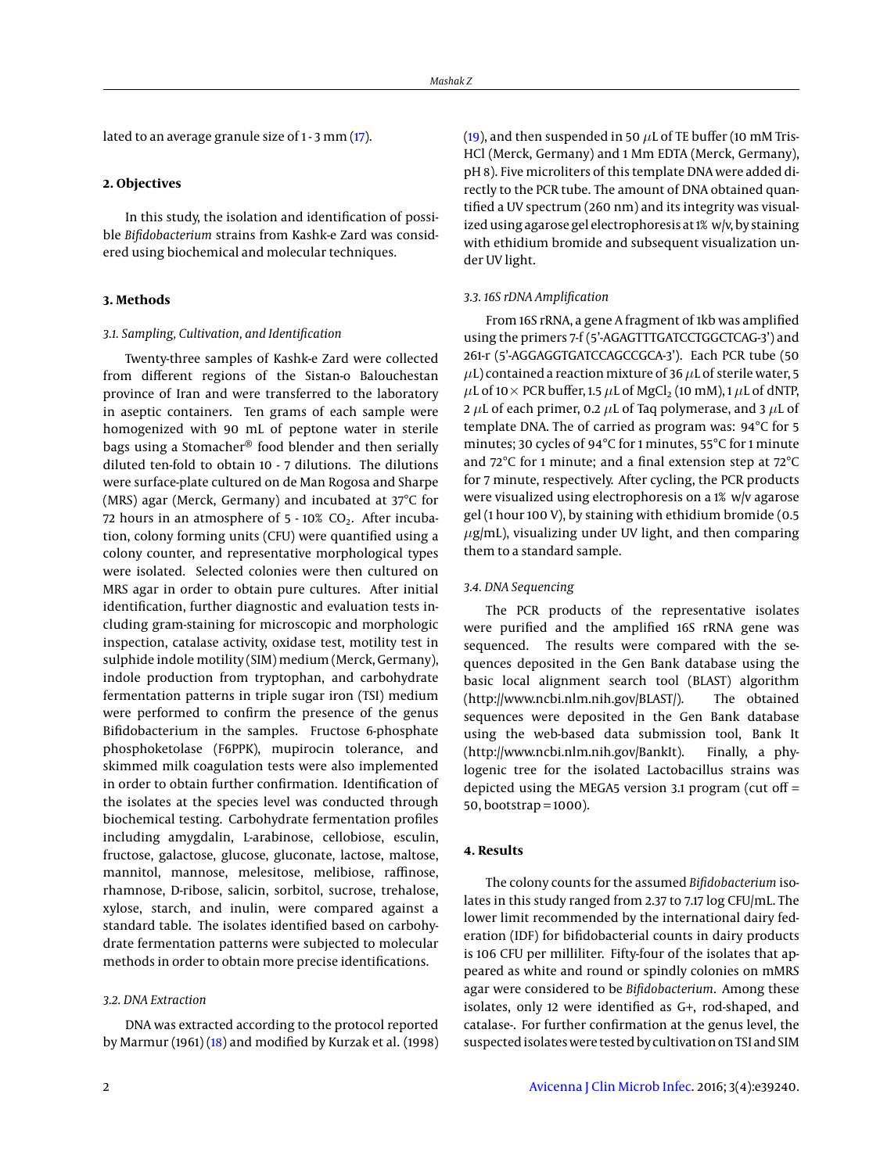lated to an average granule size of 1 - 3 mm [\(17\)](#page-4-13).

#### **2. Objectives**

In this study, the isolation and identification of possible *Bifidobacterium* strains from Kashk-e Zard was considered using biochemical and molecular techniques.

#### **3. Methods**

## *3.1. Sampling, Cultivation, and Identification*

Twenty-three samples of Kashk-e Zard were collected from different regions of the Sistan-o Balouchestan province of Iran and were transferred to the laboratory in aseptic containers. Ten grams of each sample were homogenized with 90 mL of peptone water in sterile bags using a Stomacher® food blender and then serially diluted ten-fold to obtain 10 - 7 dilutions. The dilutions were surface-plate cultured on de Man Rogosa and Sharpe (MRS) agar (Merck, Germany) and incubated at 37°C for 72 hours in an atmosphere of  $5 - 10\%$  CO<sub>2</sub>. After incubation, colony forming units (CFU) were quantified using a colony counter, and representative morphological types were isolated. Selected colonies were then cultured on MRS agar in order to obtain pure cultures. After initial identification, further diagnostic and evaluation tests including gram-staining for microscopic and morphologic inspection, catalase activity, oxidase test, motility test in sulphide indole motility (SIM) medium (Merck, Germany), indole production from tryptophan, and carbohydrate fermentation patterns in triple sugar iron (TSI) medium were performed to confirm the presence of the genus Bifidobacterium in the samples. Fructose 6-phosphate phosphoketolase (F6PPK), mupirocin tolerance, and skimmed milk coagulation tests were also implemented in order to obtain further confirmation. Identification of the isolates at the species level was conducted through biochemical testing. Carbohydrate fermentation profiles including amygdalin, L-arabinose, cellobiose, esculin, fructose, galactose, glucose, gluconate, lactose, maltose, mannitol, mannose, melesitose, melibiose, raffinose, rhamnose, D-ribose, salicin, sorbitol, sucrose, trehalose, xylose, starch, and inulin, were compared against a standard table. The isolates identified based on carbohydrate fermentation patterns were subjected to molecular methods in order to obtain more precise identifications.

#### *3.2. DNA Extraction*

DNA was extracted according to the protocol reported by Marmur (1961) [\(18\)](#page-4-14) and modified by Kurzak et al. (1998) [\(19\)](#page-4-15), and then suspended in 50  $\mu$ L of TE buffer (10 mM Tris-HCl (Merck, Germany) and 1 Mm EDTA (Merck, Germany), pH 8). Five microliters of this template DNA were added directly to the PCR tube. The amount of DNA obtained quantified a UV spectrum (260 nm) and its integrity was visualized using agarose gel electrophoresis at 1% w/v, by staining with ethidium bromide and subsequent visualization under UV light.

## *3.3. 16S rDNA Amplification*

From 16S rRNA, a gene A fragment of 1kb was amplified using the primers 7-f (5'-AGAGTTTGATCCTGGCTCAG-3') and 261-r (5'-AGGAGGTGATCCAGCCGCA-3'). Each PCR tube (50  $\mu$ L) contained a reaction mixture of 36  $\mu$ L of sterile water, 5  $\mu$ L of 10 × PCR buffer, 1.5  $\mu$ L of MgCl<sub>2</sub> (10 mM), 1  $\mu$ L of dNTP, 2  $\mu$ L of each primer, 0.2  $\mu$ L of Taq polymerase, and 3  $\mu$ L of template DNA. The of carried as program was: 94°C for 5 minutes; 30 cycles of 94°C for 1 minutes, 55°C for 1 minute and 72°C for 1 minute; and a final extension step at 72°C for 7 minute, respectively. After cycling, the PCR products were visualized using electrophoresis on a 1% w/v agarose gel (1 hour 100 V), by staining with ethidium bromide (0.5  $\mu$ g/mL), visualizing under UV light, and then comparing them to a standard sample.

#### *3.4. DNA Sequencing*

The PCR products of the representative isolates were purified and the amplified 16S rRNA gene was sequenced. The results were compared with the sequences deposited in the Gen Bank database using the basic local alignment search tool (BLAST) algorithm (http://www.ncbi.nlm.nih.gov/BLAST/). The obtained sequences were deposited in the Gen Bank database using the web-based data submission tool, Bank It (http://www.ncbi.nlm.nih.gov/BankIt). Finally, a phylogenic tree for the isolated Lactobacillus strains was depicted using the MEGA5 version 3.1 program (cut off  $=$ 50, bootstrap = 1000).

#### **4. Results**

The colony counts for the assumed *Bifidobacterium* isolates in this study ranged from 2.37 to 7.17 log CFU/mL. The lower limit recommended by the international dairy federation (IDF) for bifidobacterial counts in dairy products is 106 CFU per milliliter. Fifty-four of the isolates that appeared as white and round or spindly colonies on mMRS agar were considered to be *Bifidobacterium*. Among these isolates, only 12 were identified as G+, rod-shaped, and catalase-. For further confirmation at the genus level, the suspected isolates were tested by cultivation on TSI and SIM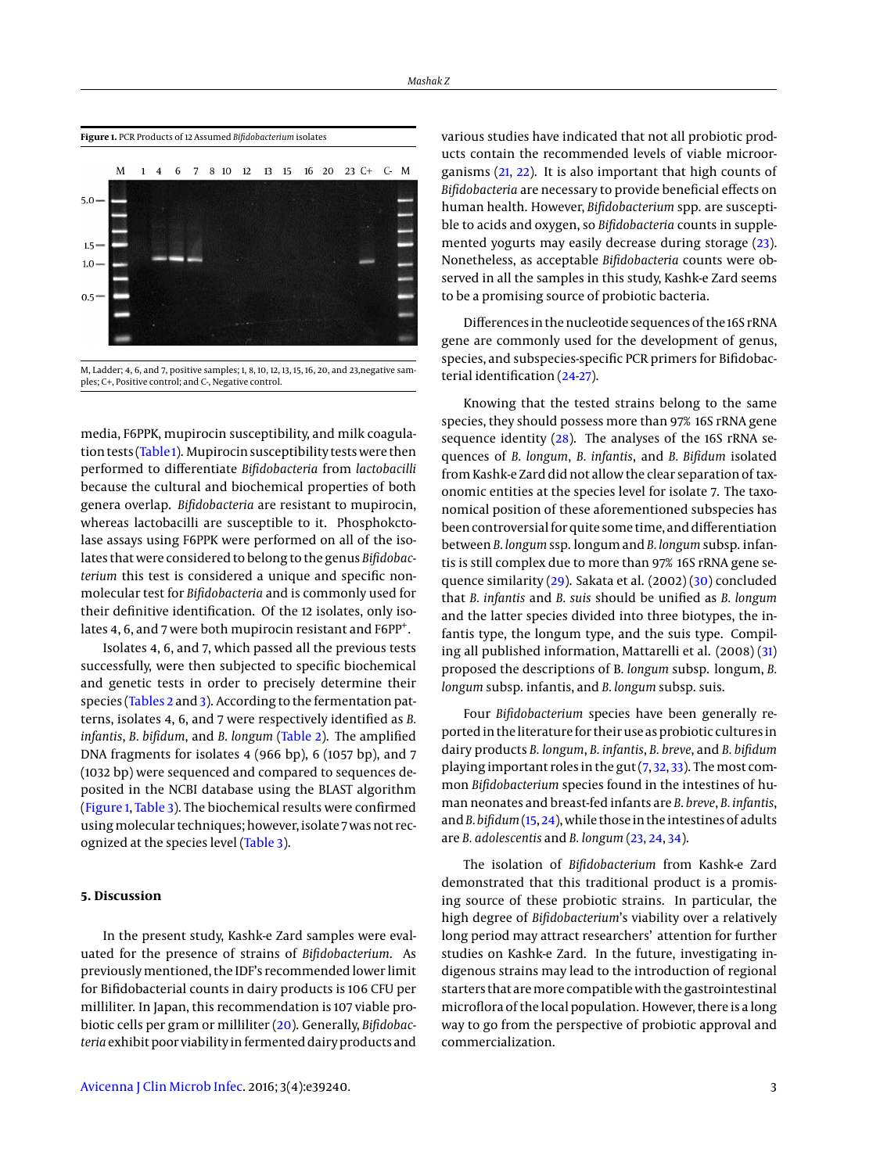<span id="page-2-0"></span>

M, Ladder; 4, 6, and 7, positive samples; 1, 8, 10, 12, 13, 15, 16, 20, and 23,negative samples; C+, Positive control; and C-, Negative control.

media, F6PPK, mupirocin susceptibility, and milk coagula-tion tests [\(Table 1\)](#page-3-0). Mupirocin susceptibility tests were then performed to differentiate *Bifidobacteria* from *lactobacilli* because the cultural and biochemical properties of both genera overlap. *Bifidobacteria* are resistant to mupirocin, whereas lactobacilli are susceptible to it. Phosphokctolase assays using F6PPK were performed on all of the isolates that were considered to belong to the genus *Bifidobacterium* this test is considered a unique and specific nonmolecular test for *Bifidobacteria* and is commonly used for their definitive identification. Of the 12 isolates, only isolates 4, 6, and 7 were both mupirocin resistant and F6PP<sup>+</sup>.

Isolates 4, 6, and 7, which passed all the previous tests successfully, were then subjected to specific biochemical and genetic tests in order to precisely determine their species [\(Tables 2](#page-3-1) and [3\)](#page-3-2). According to the fermentation patterns, isolates 4, 6, and 7 were respectively identified as *B. infantis*, *B. bifidum*, and *B. longum* [\(Table 2\)](#page-3-1). The amplified DNA fragments for isolates 4 (966 bp), 6 (1057 bp), and 7 (1032 bp) were sequenced and compared to sequences deposited in the NCBI database using the BLAST algorithm [\(Figure 1,](#page-2-0) [Table 3\)](#page-3-2). The biochemical results were confirmed usingmolecular techniques; however, isolate 7 was not recognized at the species level [\(Table 3\)](#page-3-2).

# **5. Discussion**

In the present study, Kashk-e Zard samples were evaluated for the presence of strains of *Bifidobacterium*. As previously mentioned, the IDF's recommended lower limit for Bifidobacterial counts in dairy products is 106 CFU per milliliter. In Japan, this recommendation is 107 viable probiotic cells per gram or milliliter [\(20\)](#page-4-16). Generally, *Bifidobacteria* exhibit poor viability in fermented dairy products and

various studies have indicated that not all probiotic products contain the recommended levels of viable microorganisms [\(21,](#page-4-17) [22\)](#page-4-18). It is also important that high counts of *Bifidobacteria* are necessary to provide beneficial effects on human health. However, *Bifidobacterium* spp. are susceptible to acids and oxygen, so *Bifidobacteria* counts in supplemented yogurts may easily decrease during storage [\(23\)](#page-4-19). Nonetheless, as acceptable *Bifidobacteria* counts were observed in all the samples in this study, Kashk-e Zard seems to be a promising source of probiotic bacteria.

Differences in the nucleotide sequences of the 16S rRNA gene are commonly used for the development of genus, species, and subspecies-specific PCR primers for Bifidobacterial identification [\(24](#page-4-20)[-27\)](#page-4-21).

Knowing that the tested strains belong to the same species, they should possess more than 97% 16S rRNA gene sequence identity [\(28\)](#page-4-22). The analyses of the 16S rRNA sequences of *B. longum*, *B. infantis*, and *B. Bifidum* isolated from Kashk-e Zard did not allow the clear separation of taxonomic entities at the species level for isolate 7. The taxonomical position of these aforementioned subspecies has been controversial for quite some time, and differentiation between *B. longum* ssp. longum and *B. longum* subsp. infantis is still complex due to more than 97% 16S rRNA gene sequence similarity [\(29\)](#page-4-23). Sakata et al. (2002) [\(30\)](#page-4-24) concluded that *B. infantis* and *B. suis* should be unified as *B. longum* and the latter species divided into three biotypes, the infantis type, the longum type, and the suis type. Compiling all published information, Mattarelli et al. (2008) [\(31\)](#page-4-25) proposed the descriptions of B*. longum* subsp. longum, *B. longum* subsp. infantis, and *B. longum* subsp. suis.

Four *Bifidobacterium* species have been generally reported in the literature for their use as probiotic cultures in dairy products *B. longum*, *B. infantis*, *B. breve*, and *B. bifidum* playing important roles in the gut [\(7,](#page-4-6) [32,](#page-4-26) [33\)](#page-4-27). The most common *Bifidobacterium* species found in the intestines of human neonates and breast-fed infants are *B. breve*, *B. infantis*, and*B. bifidum*[\(15,](#page-4-11) [24\)](#page-4-20), while those in the intestines of adults are *B. adolescentis* and *B. longum* [\(23,](#page-4-19) [24,](#page-4-20) [34\)](#page-4-28).

The isolation of *Bifidobacterium* from Kashk-e Zard demonstrated that this traditional product is a promising source of these probiotic strains. In particular, the high degree of *Bifidobacterium*'s viability over a relatively long period may attract researchers' attention for further studies on Kashk-e Zard. In the future, investigating indigenous strains may lead to the introduction of regional starters that aremore compatible with the gastrointestinal microflora of the local population. However, there is a long way to go from the perspective of probiotic approval and commercialization.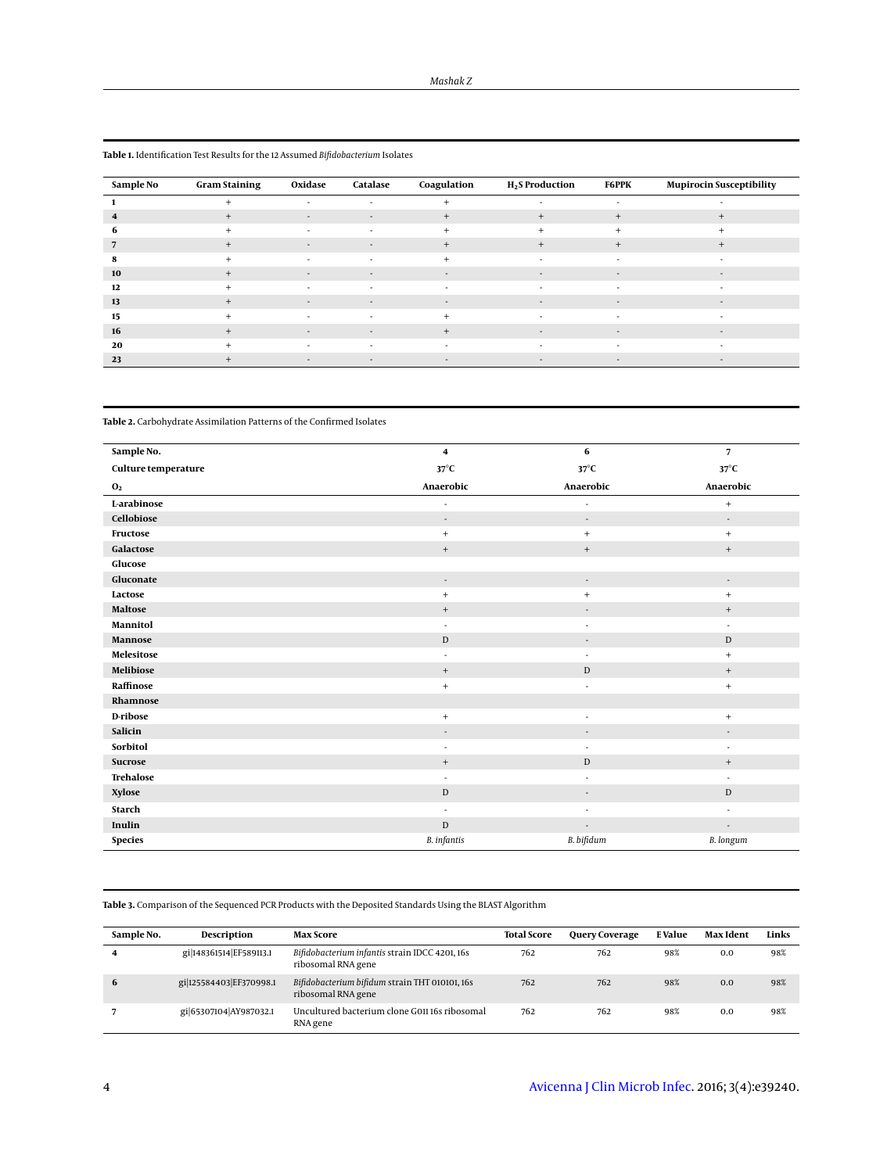| Sample No | <b>Gram Staining</b> | Oxidase                  | Catalase                 | Coagulation | <b>H<sub>2</sub>S</b> Production | <b>F6PPK</b>             | <b>Mupirocin Susceptibility</b> |
|-----------|----------------------|--------------------------|--------------------------|-------------|----------------------------------|--------------------------|---------------------------------|
|           | $\ddot{}$            | $\sim$                   | $\sim$                   | $\ddot{}$   | ٠                                | $\sim$                   | ۰.                              |
| 4         | $+$                  | $\overline{\phantom{a}}$ | $\sim$                   | $+$         | $^{+}$                           | $^{+}$                   | $^{+}$                          |
| 6         | $\ddot{}$            | $\sim$                   | $\sim$                   | $+$         | $+$                              | $+$                      | $\ddot{}$                       |
|           | $^{+}$               | $\overline{\phantom{a}}$ | $\overline{\phantom{a}}$ | $+$         | $^{+}$                           | $^{+}$                   | $+$                             |
| 8         | $\ddot{}$            | $\sim$                   | $\sim$                   | $+$         | $\overline{a}$                   | $\sim$                   | $\sim$                          |
| 10        | $^{+}$               | $\overline{\phantom{a}}$ | $\sim$                   | $\sim$      | $\overline{\phantom{a}}$         | $\sim$                   | $\sim$                          |
| 12        | $\ddot{}$            |                          | $\overline{\phantom{a}}$ | $\sim$      |                                  |                          |                                 |
| 13        | $+$                  | $\overline{\phantom{a}}$ | $\sim$                   | $\sim$      | $\sim$                           | $\sim$                   | $\sim$                          |
| 15        | $\ddot{}$            |                          |                          | $\ddot{}$   |                                  |                          |                                 |
| 16        | $+$                  | $\overline{\phantom{a}}$ | $\sim$                   | $+$         | $\overline{\phantom{a}}$         | $\overline{\phantom{a}}$ | $\sim$                          |
| 20        | $+$                  | $\sim$                   | $\sim$                   | $\sim$      | $\sim$                           | $\sim$                   | ۰.                              |
| 23        | $^{+}$               | $\sim$                   | $\sim$                   | $\sim$      | $\sim$                           | $\overline{a}$           | $\sim$                          |

<span id="page-3-0"></span>**Table 1.** Identification Test Results for the 12 Assumed *Bifidobacterium* Isolates

<span id="page-3-1"></span>**Table 2.** Carbohydrate Assimilation Patterns of the Confirmed Isolates

| Sample No.          | $\overline{\mathbf{4}}$  | 6                        | $\overline{7}$           |  |
|---------------------|--------------------------|--------------------------|--------------------------|--|
|                     |                          |                          |                          |  |
| Culture temperature | $37^{\circ}$ C           | $37^{\circ}$ C           | $37^{\circ}$ C           |  |
| $\mathbf{0}_2$      | Anaerobic                | Anaerobic                | Anaerobic                |  |
| L-arabinose         | ٠                        | $\blacksquare$           | $^{+}$                   |  |
| Cellobiose          | $\overline{\phantom{a}}$ | $\overline{\phantom{a}}$ | $\overline{\phantom{a}}$ |  |
| Fructose            | $+$                      | $^{+}$                   | $^{+}$                   |  |
| Galactose           | $^+$                     | $^{+}$                   | $\qquad \qquad +$        |  |
| Glucose             |                          |                          |                          |  |
| Gluconate           | $\overline{\phantom{a}}$ | $\overline{\phantom{a}}$ | $\overline{\phantom{a}}$ |  |
| Lactose             | $+$                      | $+$                      | $^{+}$                   |  |
| Maltose             | $\! + \!\!\!\!$          | ٠                        | $\qquad \qquad +$        |  |
| Mannitol            | $\overline{\phantom{a}}$ | ٠                        | $\sim$                   |  |
| Mannose             | $\mathbf D$              | ٠                        | $\mathbf D$              |  |
| Melesitose          | ٠                        | ٠                        | $^{+}$                   |  |
| Melibiose           | $^+$                     | D                        | $+$                      |  |
| Raffinose           | $\ddot{}$                | ٠                        | $^{+}$                   |  |
| Rhamnose            |                          |                          |                          |  |
| D-ribose            | $\ddot{}$                | $\sim$                   | $^{+}$                   |  |
| Salicin             | $\overline{\phantom{a}}$ | $\overline{\phantom{a}}$ | $\overline{\phantom{a}}$ |  |
| Sorbitol            | $\overline{\phantom{a}}$ | ٠                        | $\sim$                   |  |
| Sucrose             | $\ddot{}$                | D                        | $^+$                     |  |
| <b>Trehalose</b>    | ÷.                       | ٠                        | $\mathbf{r}$             |  |
| <b>Xylose</b>       | $\mathbf D$              | ٠                        | $\mathbf D$              |  |
| <b>Starch</b>       | $\overline{\phantom{a}}$ | ٠                        | ٠                        |  |
| Inulin              | $\mathbb D$              | $\overline{\phantom{a}}$ | $\overline{\phantom{a}}$ |  |
| <b>Species</b>      | <b>B.</b> infantis       | B. bifidum               | <b>B.</b> longum         |  |

<span id="page-3-2"></span>**Table 3.** Comparison of the Sequenced PCR Products with the Deposited Standards Using the BLAST Algorithm

| Sample No. | <b>Description</b>      | <b>Max Score</b>                                                     | <b>Total Score</b> | <b>Query Coverage</b> | E Value | Max Ident | Links |
|------------|-------------------------|----------------------------------------------------------------------|--------------------|-----------------------|---------|-----------|-------|
| 4          | gi 148361514 EF589113.1 | Bifidobacterium infantis strain IDCC 4201, 16s<br>ribosomal RNA gene | 762                | 762                   | 98%     | 0.0       | 98%   |
| 6          | gi 125584403 EF370998.1 | Bifidobacterium bifidum strain THT 010101, 16s<br>ribosomal RNA gene | 762                | 762                   | 98%     | 0.0       | 98%   |
|            | gi 65307104 AY987032.1  | Uncultured bacterium clone G01116s ribosomal<br>RNA gene             | 762                | 762                   | 98%     | 0.0       | 98%   |